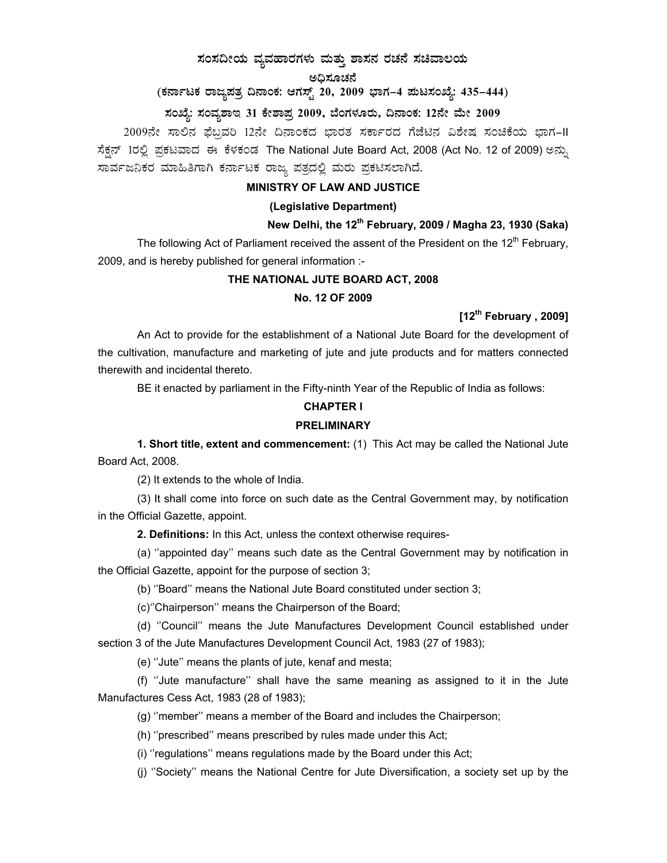## $\,$ ಸಂಸದೀಯ ವ್ಯವಹಾರಗಳು ಮತ್ತು ಶಾಸನ ರಚನೆ ಸಚಿವಾಲಯ

## ಅಧಿಸೂಚನೆ

# (ಕರ್ನಾಟಕ ರಾಜ್ಯಪತ್ರ ದಿನಾಂಕ: ಆಗಸ್ಟ್ 20, 2009 ಭಾಗ–4 **ಮಟಸಂಖ್ಯೆ: 435–444**)

## ಸಂಖ್ಯೆ: ಸಂವ್ಯಶಾಇ 31 ಕೇಶಾಪ್ರ 2009, ಬೆಂಗಳೂರು, ದಿನಾಂಕ: 12ನೇ ಮೇ 2009

2009ನೇ ಸಾಲಿನ ಫೆಬ್ರವರಿ 12ನೇ ದಿನಾಂಕದ ಭಾರತ ಸರ್ಕಾರದ ಗೆಜೆಟಿನ ವಿಶೇಷ ಸಂಚಿಕೆಯ ಭಾಗ-II ಸೆಕ್ಷನ್ 1ರಲ್ಲಿ ಪ್ರಕಟವಾದ ಈ ಕೆಳಕಂಡ The National Jute Board Act, 2008 (Act No. 12 of 2009) ಅನ್ನು ಸಾರ್ವಜನಿಕರ ಮಾಹಿತಿಗಾಗಿ ಕರ್ನಾಟಕ ರಾಜ್ಯ ಪತ್ರದಲ್ಲಿ ಮರು ಪ್ರಕಟಿಸಲಾಗಿದೆ.

## **MINISTRY OF LAW AND JUSTICE**

### **(Legislative Department)**

## **New Delhi, the 12th February, 2009 / Magha 23, 1930 (Saka)**

The following Act of Parliament received the assent of the President on the  $12<sup>th</sup>$  February, 2009, and is hereby published for general information :-

#### **THE NATIONAL JUTE BOARD ACT, 2008**

#### **No. 12 OF 2009**

## **[12th February , 2009]**

An Act to provide for the establishment of a National Jute Board for the development of the cultivation, manufacture and marketing of jute and jute products and for matters connected therewith and incidental thereto.

BE it enacted by parliament in the Fifty-ninth Year of the Republic of India as follows:

## **CHAPTER I PRELIMINARY**

 **1. Short title, extent and commencement:** (1) This Act may be called the National Jute Board Act, 2008.

(2) It extends to the whole of India.

 (3) It shall come into force on such date as the Central Government may, by notification in the Official Gazette, appoint.

**2. Definitions:** In this Act, unless the context otherwise requires-

 (a) ''appointed day'' means such date as the Central Government may by notification in the Official Gazette, appoint for the purpose of section 3;

(b) ''Board'' means the National Jute Board constituted under section 3;

(c)''Chairperson'' means the Chairperson of the Board;

 (d) ''Council'' means the Jute Manufactures Development Council established under section 3 of the Jute Manufactures Development Council Act, 1983 (27 of 1983);

(e) ''Jute'' means the plants of jute, kenaf and mesta;

 (f) ''Jute manufacture'' shall have the same meaning as assigned to it in the Jute Manufactures Cess Act, 1983 (28 of 1983);

(g) ''member'' means a member of the Board and includes the Chairperson;

(h) ''prescribed'' means prescribed by rules made under this Act;

(i) ''regulations'' means regulations made by the Board under this Act;

(j) ''Society'' means the National Centre for Jute Diversification, a society set up by the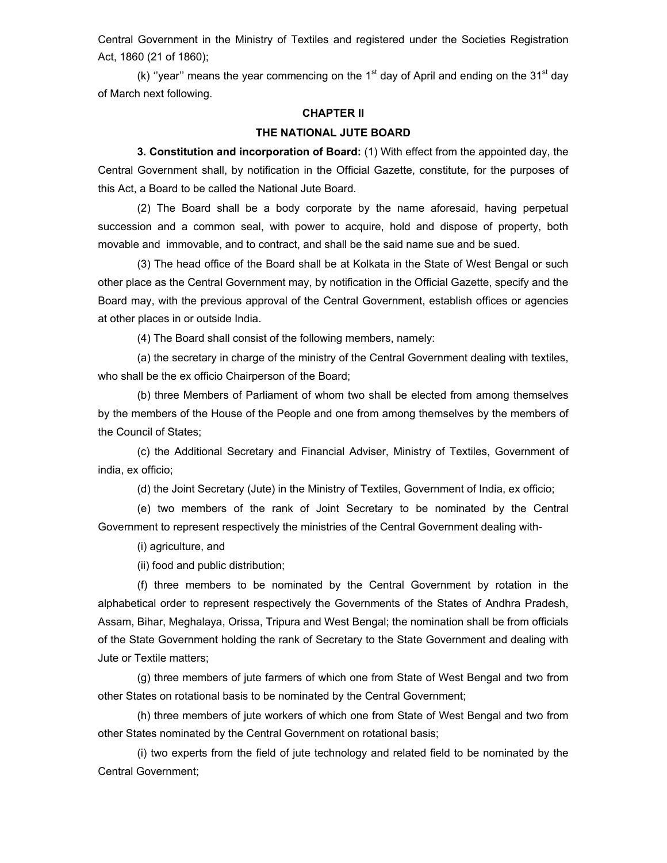Central Government in the Ministry of Textiles and registered under the Societies Registration Act, 1860 (21 of 1860);

(k) "year" means the year commencing on the 1<sup>st</sup> day of April and ending on the 31<sup>st</sup> day of March next following.

#### **CHAPTER II**

#### **THE NATIONAL JUTE BOARD**

 **3. Constitution and incorporation of Board:** (1) With effect from the appointed day, the Central Government shall, by notification in the Official Gazette, constitute, for the purposes of this Act, a Board to be called the National Jute Board.

 (2) The Board shall be a body corporate by the name aforesaid, having perpetual succession and a common seal, with power to acquire, hold and dispose of property, both movable and immovable, and to contract, and shall be the said name sue and be sued.

 (3) The head office of the Board shall be at Kolkata in the State of West Bengal or such other place as the Central Government may, by notification in the Official Gazette, specify and the Board may, with the previous approval of the Central Government, establish offices or agencies at other places in or outside India.

(4) The Board shall consist of the following members, namely:

 (a) the secretary in charge of the ministry of the Central Government dealing with textiles, who shall be the ex officio Chairperson of the Board;

 (b) three Members of Parliament of whom two shall be elected from among themselves by the members of the House of the People and one from among themselves by the members of the Council of States;

 (c) the Additional Secretary and Financial Adviser, Ministry of Textiles, Government of india, ex officio;

(d) the Joint Secretary (Jute) in the Ministry of Textiles, Government of India, ex officio;

 (e) two members of the rank of Joint Secretary to be nominated by the Central Government to represent respectively the ministries of the Central Government dealing with-

(i) agriculture, and

(ii) food and public distribution;

 (f) three members to be nominated by the Central Government by rotation in the alphabetical order to represent respectively the Governments of the States of Andhra Pradesh, Assam, Bihar, Meghalaya, Orissa, Tripura and West Bengal; the nomination shall be from officials of the State Government holding the rank of Secretary to the State Government and dealing with Jute or Textile matters;

 (g) three members of jute farmers of which one from State of West Bengal and two from other States on rotational basis to be nominated by the Central Government;

 (h) three members of jute workers of which one from State of West Bengal and two from other States nominated by the Central Government on rotational basis;

 (i) two experts from the field of jute technology and related field to be nominated by the Central Government;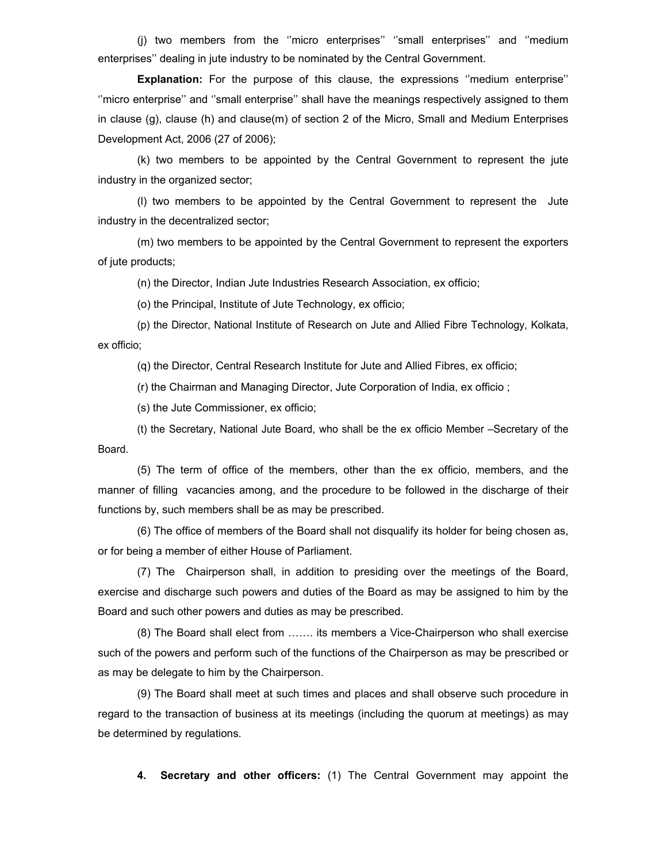(j) two members from the ''micro enterprises'' ''small enterprises'' and ''medium enterprises'' dealing in jute industry to be nominated by the Central Government.

**Explanation:** For the purpose of this clause, the expressions ''medium enterprise'' ''micro enterprise'' and ''small enterprise'' shall have the meanings respectively assigned to them in clause (g), clause (h) and clause(m) of section 2 of the Micro, Small and Medium Enterprises Development Act, 2006 (27 of 2006);

 (k) two members to be appointed by the Central Government to represent the jute industry in the organized sector;

 (l) two members to be appointed by the Central Government to represent the Jute industry in the decentralized sector;

 (m) two members to be appointed by the Central Government to represent the exporters of jute products;

(n) the Director, Indian Jute Industries Research Association, ex officio;

(o) the Principal, Institute of Jute Technology, ex officio;

(p) the Director, National Institute of Research on Jute and Allied Fibre Technology, Kolkata, ex officio;

(q) the Director, Central Research Institute for Jute and Allied Fibres, ex officio;

(r) the Chairman and Managing Director, Jute Corporation of India, ex officio ;

(s) the Jute Commissioner, ex officio;

(t) the Secretary, National Jute Board, who shall be the ex officio Member –Secretary of the Board.

 (5) The term of office of the members, other than the ex officio, members, and the manner of filling vacancies among, and the procedure to be followed in the discharge of their functions by, such members shall be as may be prescribed.

 (6) The office of members of the Board shall not disqualify its holder for being chosen as, or for being a member of either House of Parliament.

 (7) The Chairperson shall, in addition to presiding over the meetings of the Board, exercise and discharge such powers and duties of the Board as may be assigned to him by the Board and such other powers and duties as may be prescribed.

 (8) The Board shall elect from ……. its members a Vice-Chairperson who shall exercise such of the powers and perform such of the functions of the Chairperson as may be prescribed or as may be delegate to him by the Chairperson.

 (9) The Board shall meet at such times and places and shall observe such procedure in regard to the transaction of business at its meetings (including the quorum at meetings) as may be determined by regulations.

**4. Secretary and other officers:** (1) The Central Government may appoint the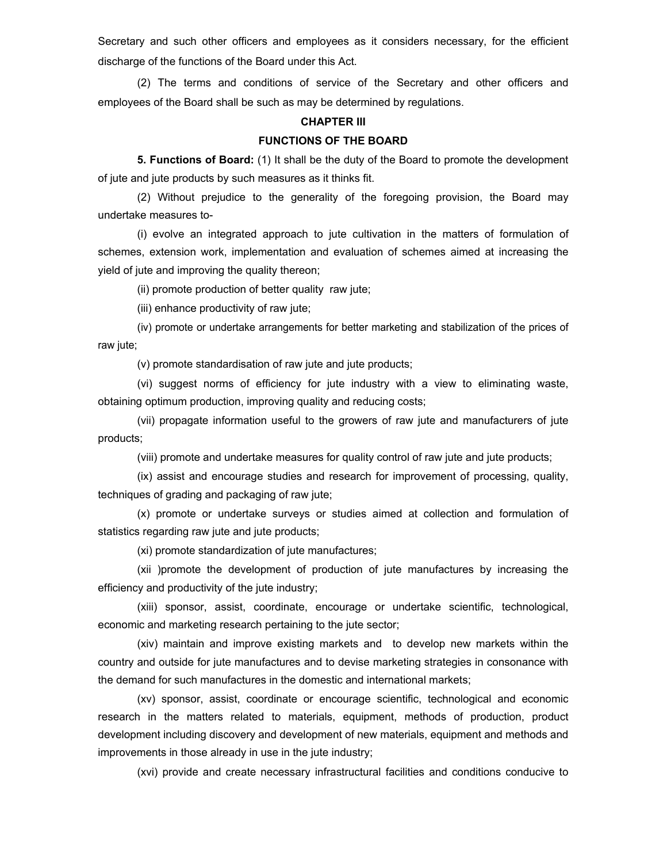Secretary and such other officers and employees as it considers necessary, for the efficient discharge of the functions of the Board under this Act.

 (2) The terms and conditions of service of the Secretary and other officers and employees of the Board shall be such as may be determined by regulations.

#### **CHAPTER III**

#### **FUNCTIONS OF THE BOARD**

**5. Functions of Board:** (1) It shall be the duty of the Board to promote the development of jute and jute products by such measures as it thinks fit.

 (2) Without prejudice to the generality of the foregoing provision, the Board may undertake measures to-

 (i) evolve an integrated approach to jute cultivation in the matters of formulation of schemes, extension work, implementation and evaluation of schemes aimed at increasing the yield of jute and improving the quality thereon;

(ii) promote production of better quality raw jute;

(iii) enhance productivity of raw jute;

 (iv) promote or undertake arrangements for better marketing and stabilization of the prices of raw jute;

(v) promote standardisation of raw jute and jute products;

 (vi) suggest norms of efficiency for jute industry with a view to eliminating waste, obtaining optimum production, improving quality and reducing costs;

 (vii) propagate information useful to the growers of raw jute and manufacturers of jute products;

(viii) promote and undertake measures for quality control of raw jute and jute products;

 (ix) assist and encourage studies and research for improvement of processing, quality, techniques of grading and packaging of raw jute;

 (x) promote or undertake surveys or studies aimed at collection and formulation of statistics regarding raw jute and jute products;

(xi) promote standardization of jute manufactures;

 (xii )promote the development of production of jute manufactures by increasing the efficiency and productivity of the jute industry;

 (xiii) sponsor, assist, coordinate, encourage or undertake scientific, technological, economic and marketing research pertaining to the jute sector;

 (xiv) maintain and improve existing markets and to develop new markets within the country and outside for jute manufactures and to devise marketing strategies in consonance with the demand for such manufactures in the domestic and international markets;

 (xv) sponsor, assist, coordinate or encourage scientific, technological and economic research in the matters related to materials, equipment, methods of production, product development including discovery and development of new materials, equipment and methods and improvements in those already in use in the jute industry;

(xvi) provide and create necessary infrastructural facilities and conditions conducive to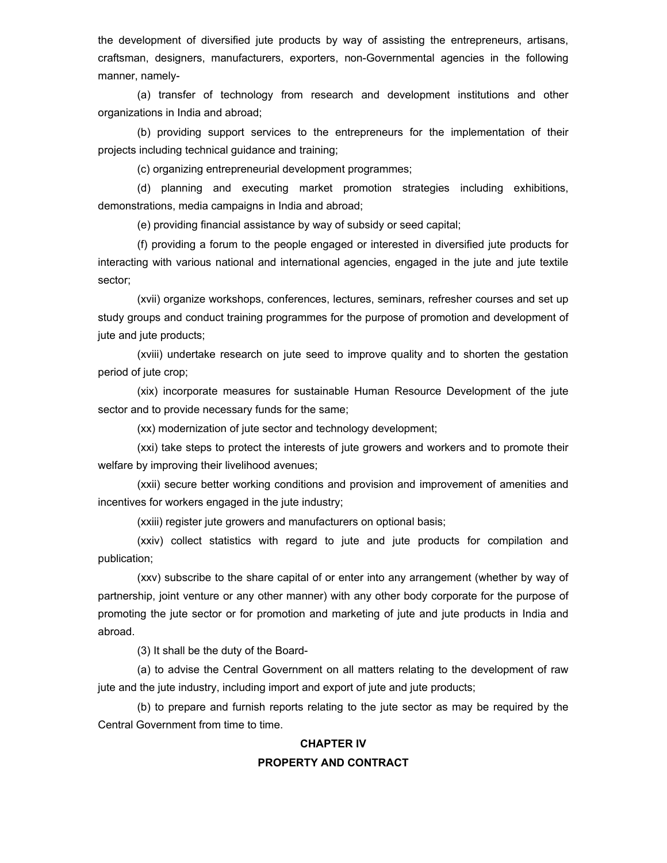the development of diversified jute products by way of assisting the entrepreneurs, artisans, craftsman, designers, manufacturers, exporters, non-Governmental agencies in the following manner, namely-

 (a) transfer of technology from research and development institutions and other organizations in India and abroad;

 (b) providing support services to the entrepreneurs for the implementation of their projects including technical guidance and training;

(c) organizing entrepreneurial development programmes;

 (d) planning and executing market promotion strategies including exhibitions, demonstrations, media campaigns in India and abroad;

(e) providing financial assistance by way of subsidy or seed capital;

 (f) providing a forum to the people engaged or interested in diversified jute products for interacting with various national and international agencies, engaged in the jute and jute textile sector;

 (xvii) organize workshops, conferences, lectures, seminars, refresher courses and set up study groups and conduct training programmes for the purpose of promotion and development of jute and jute products;

 (xviii) undertake research on jute seed to improve quality and to shorten the gestation period of jute crop;

 (xix) incorporate measures for sustainable Human Resource Development of the jute sector and to provide necessary funds for the same;

(xx) modernization of jute sector and technology development;

 (xxi) take steps to protect the interests of jute growers and workers and to promote their welfare by improving their livelihood avenues;

 (xxii) secure better working conditions and provision and improvement of amenities and incentives for workers engaged in the jute industry;

(xxiii) register jute growers and manufacturers on optional basis;

 (xxiv) collect statistics with regard to jute and jute products for compilation and publication;

 (xxv) subscribe to the share capital of or enter into any arrangement (whether by way of partnership, joint venture or any other manner) with any other body corporate for the purpose of promoting the jute sector or for promotion and marketing of jute and jute products in India and abroad.

(3) It shall be the duty of the Board-

 (a) to advise the Central Government on all matters relating to the development of raw jute and the jute industry, including import and export of jute and jute products;

 (b) to prepare and furnish reports relating to the jute sector as may be required by the Central Government from time to time.

## **CHAPTER IV PROPERTY AND CONTRACT**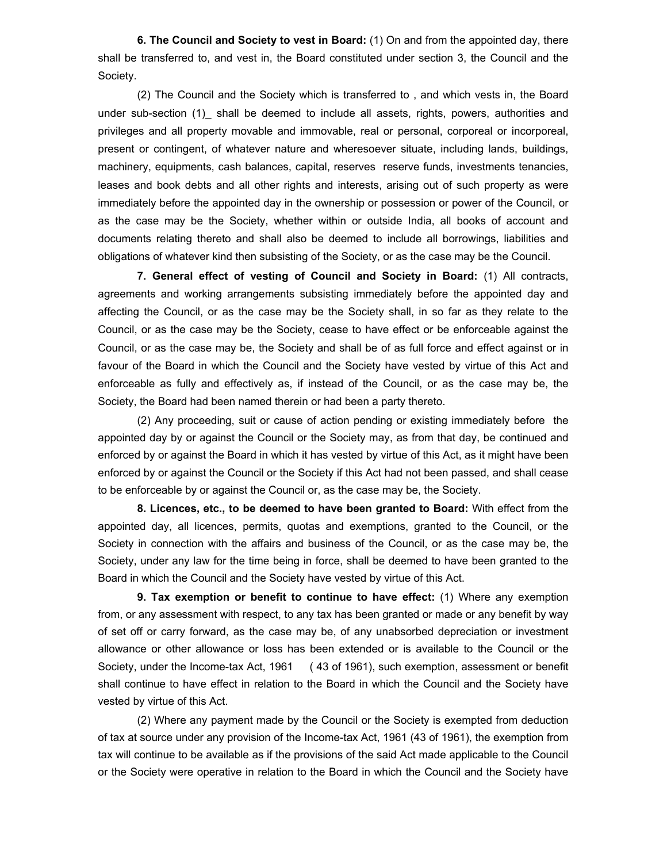**6. The Council and Society to vest in Board:** (1) On and from the appointed day, there shall be transferred to, and vest in, the Board constituted under section 3, the Council and the Society.

 (2) The Council and the Society which is transferred to , and which vests in, the Board under sub-section (1)\_ shall be deemed to include all assets, rights, powers, authorities and privileges and all property movable and immovable, real or personal, corporeal or incorporeal, present or contingent, of whatever nature and wheresoever situate, including lands, buildings, machinery, equipments, cash balances, capital, reserves reserve funds, investments tenancies, leases and book debts and all other rights and interests, arising out of such property as were immediately before the appointed day in the ownership or possession or power of the Council, or as the case may be the Society, whether within or outside India, all books of account and documents relating thereto and shall also be deemed to include all borrowings, liabilities and obligations of whatever kind then subsisting of the Society, or as the case may be the Council.

**7. General effect of vesting of Council and Society in Board:** (1) All contracts, agreements and working arrangements subsisting immediately before the appointed day and affecting the Council, or as the case may be the Society shall, in so far as they relate to the Council, or as the case may be the Society, cease to have effect or be enforceable against the Council, or as the case may be, the Society and shall be of as full force and effect against or in favour of the Board in which the Council and the Society have vested by virtue of this Act and enforceable as fully and effectively as, if instead of the Council, or as the case may be, the Society, the Board had been named therein or had been a party thereto.

 (2) Any proceeding, suit or cause of action pending or existing immediately before the appointed day by or against the Council or the Society may, as from that day, be continued and enforced by or against the Board in which it has vested by virtue of this Act, as it might have been enforced by or against the Council or the Society if this Act had not been passed, and shall cease to be enforceable by or against the Council or, as the case may be, the Society.

**8. Licences, etc., to be deemed to have been granted to Board:** With effect from the appointed day, all licences, permits, quotas and exemptions, granted to the Council, or the Society in connection with the affairs and business of the Council, or as the case may be, the Society, under any law for the time being in force, shall be deemed to have been granted to the Board in which the Council and the Society have vested by virtue of this Act.

**9. Tax exemption or benefit to continue to have effect:** (1) Where any exemption from, or any assessment with respect, to any tax has been granted or made or any benefit by way of set off or carry forward, as the case may be, of any unabsorbed depreciation or investment allowance or other allowance or loss has been extended or is available to the Council or the Society, under the Income-tax Act, 1961 ( 43 of 1961), such exemption, assessment or benefit shall continue to have effect in relation to the Board in which the Council and the Society have vested by virtue of this Act.

 (2) Where any payment made by the Council or the Society is exempted from deduction of tax at source under any provision of the Income-tax Act, 1961 (43 of 1961), the exemption from tax will continue to be available as if the provisions of the said Act made applicable to the Council or the Society were operative in relation to the Board in which the Council and the Society have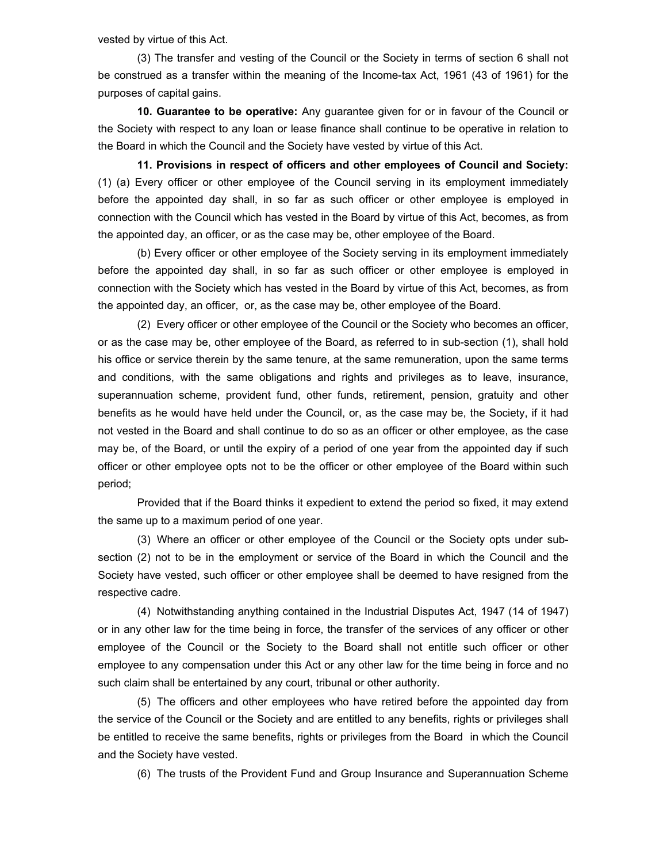vested by virtue of this Act.

 (3) The transfer and vesting of the Council or the Society in terms of section 6 shall not be construed as a transfer within the meaning of the Income-tax Act, 1961 (43 of 1961) for the purposes of capital gains.

**10. Guarantee to be operative:** Any guarantee given for or in favour of the Council or the Society with respect to any loan or lease finance shall continue to be operative in relation to the Board in which the Council and the Society have vested by virtue of this Act.

**11. Provisions in respect of officers and other employees of Council and Society:** (1) (a) Every officer or other employee of the Council serving in its employment immediately before the appointed day shall, in so far as such officer or other employee is employed in connection with the Council which has vested in the Board by virtue of this Act, becomes, as from the appointed day, an officer, or as the case may be, other employee of the Board.

 (b) Every officer or other employee of the Society serving in its employment immediately before the appointed day shall, in so far as such officer or other employee is employed in connection with the Society which has vested in the Board by virtue of this Act, becomes, as from the appointed day, an officer, or, as the case may be, other employee of the Board.

 (2) Every officer or other employee of the Council or the Society who becomes an officer, or as the case may be, other employee of the Board, as referred to in sub-section (1), shall hold his office or service therein by the same tenure, at the same remuneration, upon the same terms and conditions, with the same obligations and rights and privileges as to leave, insurance, superannuation scheme, provident fund, other funds, retirement, pension, gratuity and other benefits as he would have held under the Council, or, as the case may be, the Society, if it had not vested in the Board and shall continue to do so as an officer or other employee, as the case may be, of the Board, or until the expiry of a period of one year from the appointed day if such officer or other employee opts not to be the officer or other employee of the Board within such period;

 Provided that if the Board thinks it expedient to extend the period so fixed, it may extend the same up to a maximum period of one year.

 (3) Where an officer or other employee of the Council or the Society opts under subsection (2) not to be in the employment or service of the Board in which the Council and the Society have vested, such officer or other employee shall be deemed to have resigned from the respective cadre.

 (4) Notwithstanding anything contained in the Industrial Disputes Act, 1947 (14 of 1947) or in any other law for the time being in force, the transfer of the services of any officer or other employee of the Council or the Society to the Board shall not entitle such officer or other employee to any compensation under this Act or any other law for the time being in force and no such claim shall be entertained by any court, tribunal or other authority.

 (5) The officers and other employees who have retired before the appointed day from the service of the Council or the Society and are entitled to any benefits, rights or privileges shall be entitled to receive the same benefits, rights or privileges from the Board in which the Council and the Society have vested.

(6) The trusts of the Provident Fund and Group Insurance and Superannuation Scheme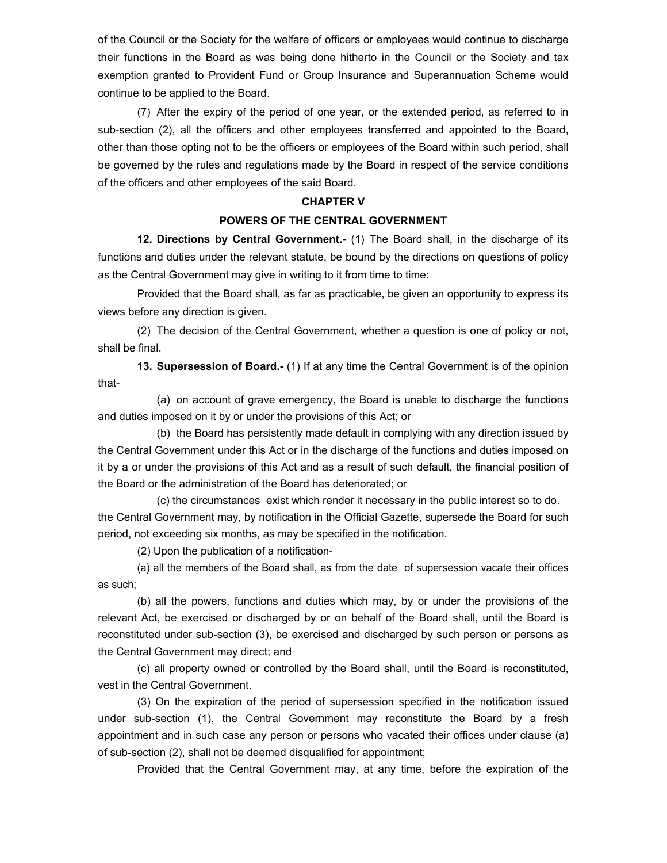of the Council or the Society for the welfare of officers or employees would continue to discharge their functions in the Board as was being done hitherto in the Council or the Society and tax exemption granted to Provident Fund or Group Insurance and Superannuation Scheme would continue to be applied to the Board.

 (7) After the expiry of the period of one year, or the extended period, as referred to in sub-section (2), all the officers and other employees transferred and appointed to the Board, other than those opting not to be the officers or employees of the Board within such period, shall be governed by the rules and regulations made by the Board in respect of the service conditions of the officers and other employees of the said Board.

#### **CHAPTER V**

### **POWERS OF THE CENTRAL GOVERNMENT**

**12. Directions by Central Government.-** (1) The Board shall, in the discharge of its functions and duties under the relevant statute, be bound by the directions on questions of policy as the Central Government may give in writing to it from time to time:

 Provided that the Board shall, as far as practicable, be given an opportunity to express its views before any direction is given.

 (2) The decision of the Central Government, whether a question is one of policy or not, shall be final.

**13. Supersession of Board.-** (1) If at any time the Central Government is of the opinion that-

 (a) on account of grave emergency, the Board is unable to discharge the functions and duties imposed on it by or under the provisions of this Act; or

 (b) the Board has persistently made default in complying with any direction issued by the Central Government under this Act or in the discharge of the functions and duties imposed on it by a or under the provisions of this Act and as a result of such default, the financial position of the Board or the administration of the Board has deteriorated; or

 (c) the circumstances exist which render it necessary in the public interest so to do. the Central Government may, by notification in the Official Gazette, supersede the Board for such period, not exceeding six months, as may be specified in the notification.

(2) Upon the publication of a notification-

(a) all the members of the Board shall, as from the date of supersession vacate their offices as such;

 (b) all the powers, functions and duties which may, by or under the provisions of the relevant Act, be exercised or discharged by or on behalf of the Board shall, until the Board is reconstituted under sub-section (3), be exercised and discharged by such person or persons as the Central Government may direct; and

 (c) all property owned or controlled by the Board shall, until the Board is reconstituted, vest in the Central Government.

 (3) On the expiration of the period of supersession specified in the notification issued under sub-section (1), the Central Government may reconstitute the Board by a fresh appointment and in such case any person or persons who vacated their offices under clause (a) of sub-section (2), shall not be deemed disqualified for appointment;

Provided that the Central Government may, at any time, before the expiration of the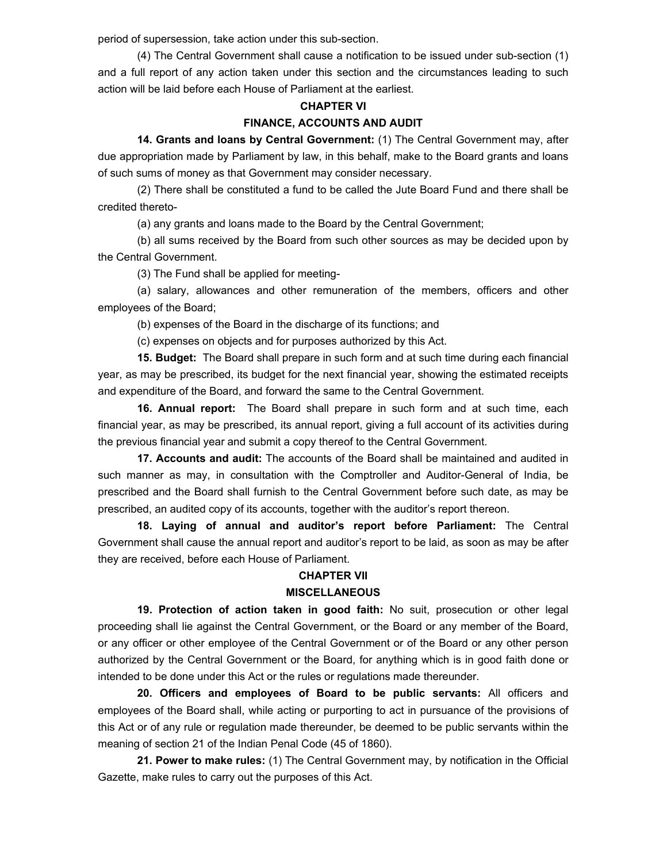period of supersession, take action under this sub-section.

 (4) The Central Government shall cause a notification to be issued under sub-section (1) and a full report of any action taken under this section and the circumstances leading to such action will be laid before each House of Parliament at the earliest.

#### **CHAPTER VI**

#### **FINANCE, ACCOUNTS AND AUDIT**

**14. Grants and loans by Central Government:** (1) The Central Government may, after due appropriation made by Parliament by law, in this behalf, make to the Board grants and loans of such sums of money as that Government may consider necessary.

 (2) There shall be constituted a fund to be called the Jute Board Fund and there shall be credited thereto-

(a) any grants and loans made to the Board by the Central Government;

 (b) all sums received by the Board from such other sources as may be decided upon by the Central Government.

(3) The Fund shall be applied for meeting-

 (a) salary, allowances and other remuneration of the members, officers and other employees of the Board;

(b) expenses of the Board in the discharge of its functions; and

(c) expenses on objects and for purposes authorized by this Act.

**15. Budget:** The Board shall prepare in such form and at such time during each financial year, as may be prescribed, its budget for the next financial year, showing the estimated receipts and expenditure of the Board, and forward the same to the Central Government.

**16. Annual report:** The Board shall prepare in such form and at such time, each financial year, as may be prescribed, its annual report, giving a full account of its activities during the previous financial year and submit a copy thereof to the Central Government.

**17. Accounts and audit:** The accounts of the Board shall be maintained and audited in such manner as may, in consultation with the Comptroller and Auditor-General of India, be prescribed and the Board shall furnish to the Central Government before such date, as may be prescribed, an audited copy of its accounts, together with the auditor's report thereon.

**18. Laying of annual and auditor's report before Parliament:** The Central Government shall cause the annual report and auditor's report to be laid, as soon as may be after they are received, before each House of Parliament.

#### **CHAPTER VII**

### **MISCELLANEOUS**

**19. Protection of action taken in good faith:** No suit, prosecution or other legal proceeding shall lie against the Central Government, or the Board or any member of the Board, or any officer or other employee of the Central Government or of the Board or any other person authorized by the Central Government or the Board, for anything which is in good faith done or intended to be done under this Act or the rules or regulations made thereunder.

**20. Officers and employees of Board to be public servants:** All officers and employees of the Board shall, while acting or purporting to act in pursuance of the provisions of this Act or of any rule or regulation made thereunder, be deemed to be public servants within the meaning of section 21 of the Indian Penal Code (45 of 1860).

**21. Power to make rules:** (1) The Central Government may, by notification in the Official Gazette, make rules to carry out the purposes of this Act.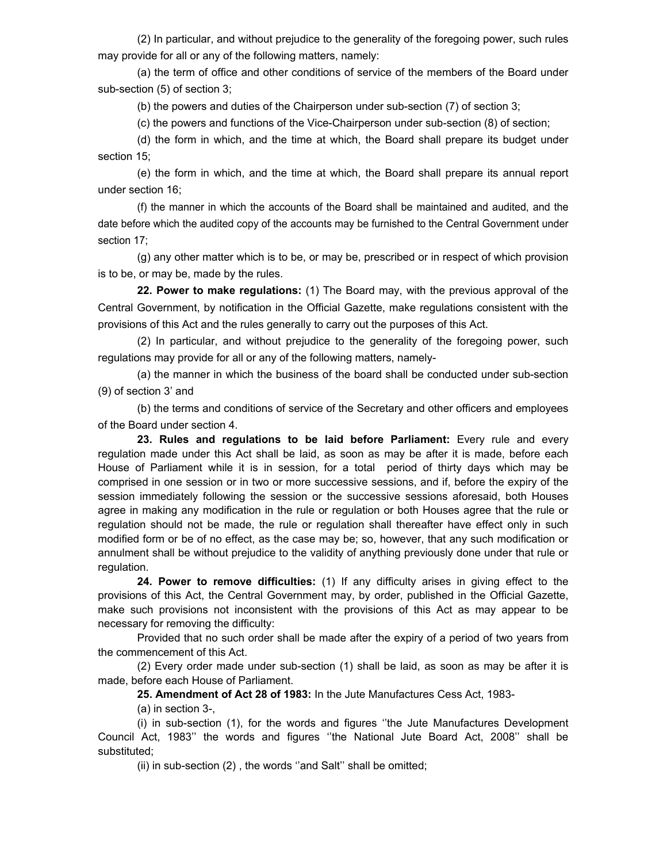(2) In particular, and without prejudice to the generality of the foregoing power, such rules may provide for all or any of the following matters, namely:

 (a) the term of office and other conditions of service of the members of the Board under sub-section (5) of section 3;

(b) the powers and duties of the Chairperson under sub-section (7) of section 3;

(c) the powers and functions of the Vice-Chairperson under sub-section (8) of section;

 (d) the form in which, and the time at which, the Board shall prepare its budget under section 15;

 (e) the form in which, and the time at which, the Board shall prepare its annual report under section 16;

(f) the manner in which the accounts of the Board shall be maintained and audited, and the date before which the audited copy of the accounts may be furnished to the Central Government under section 17;

 (g) any other matter which is to be, or may be, prescribed or in respect of which provision is to be, or may be, made by the rules.

**22. Power to make regulations:** (1) The Board may, with the previous approval of the Central Government, by notification in the Official Gazette, make regulations consistent with the provisions of this Act and the rules generally to carry out the purposes of this Act.

 (2) In particular, and without prejudice to the generality of the foregoing power, such regulations may provide for all or any of the following matters, namely-

 (a) the manner in which the business of the board shall be conducted under sub-section (9) of section 3' and

 (b) the terms and conditions of service of the Secretary and other officers and employees of the Board under section 4.

**23. Rules and regulations to be laid before Parliament:** Every rule and every regulation made under this Act shall be laid, as soon as may be after it is made, before each House of Parliament while it is in session, for a total period of thirty days which may be comprised in one session or in two or more successive sessions, and if, before the expiry of the session immediately following the session or the successive sessions aforesaid, both Houses agree in making any modification in the rule or regulation or both Houses agree that the rule or regulation should not be made, the rule or regulation shall thereafter have effect only in such modified form or be of no effect, as the case may be; so, however, that any such modification or annulment shall be without prejudice to the validity of anything previously done under that rule or regulation.

**24. Power to remove difficulties:** (1) If any difficulty arises in giving effect to the provisions of this Act, the Central Government may, by order, published in the Official Gazette, make such provisions not inconsistent with the provisions of this Act as may appear to be necessary for removing the difficulty:

 Provided that no such order shall be made after the expiry of a period of two years from the commencement of this Act.

 (2) Every order made under sub-section (1) shall be laid, as soon as may be after it is made, before each House of Parliament.

**25. Amendment of Act 28 of 1983:** In the Jute Manufactures Cess Act, 1983-

(a) in section 3-,

 (i) in sub-section (1), for the words and figures ''the Jute Manufactures Development Council Act, 1983'' the words and figures ''the National Jute Board Act, 2008'' shall be substituted;

(ii) in sub-section (2) , the words ''and Salt'' shall be omitted;